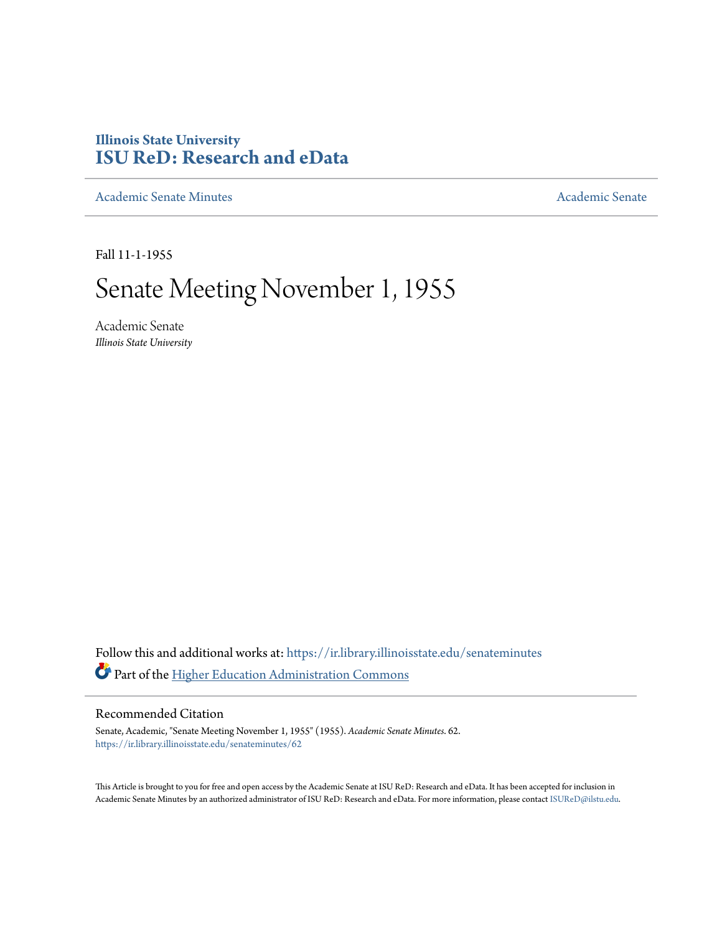## **Illinois State University [ISU ReD: Research and eData](https://ir.library.illinoisstate.edu?utm_source=ir.library.illinoisstate.edu%2Fsenateminutes%2F62&utm_medium=PDF&utm_campaign=PDFCoverPages)**

[Academic Senate Minutes](https://ir.library.illinoisstate.edu/senateminutes?utm_source=ir.library.illinoisstate.edu%2Fsenateminutes%2F62&utm_medium=PDF&utm_campaign=PDFCoverPages) [Academic Senate](https://ir.library.illinoisstate.edu/senate?utm_source=ir.library.illinoisstate.edu%2Fsenateminutes%2F62&utm_medium=PDF&utm_campaign=PDFCoverPages) Academic Senate

Fall 11-1-1955

# Senate Meeting November 1, 1955

Academic Senate *Illinois State University*

Follow this and additional works at: [https://ir.library.illinoisstate.edu/senateminutes](https://ir.library.illinoisstate.edu/senateminutes?utm_source=ir.library.illinoisstate.edu%2Fsenateminutes%2F62&utm_medium=PDF&utm_campaign=PDFCoverPages) Part of the [Higher Education Administration Commons](http://network.bepress.com/hgg/discipline/791?utm_source=ir.library.illinoisstate.edu%2Fsenateminutes%2F62&utm_medium=PDF&utm_campaign=PDFCoverPages)

### Recommended Citation

Senate, Academic, "Senate Meeting November 1, 1955" (1955). *Academic Senate Minutes*. 62. [https://ir.library.illinoisstate.edu/senateminutes/62](https://ir.library.illinoisstate.edu/senateminutes/62?utm_source=ir.library.illinoisstate.edu%2Fsenateminutes%2F62&utm_medium=PDF&utm_campaign=PDFCoverPages)

This Article is brought to you for free and open access by the Academic Senate at ISU ReD: Research and eData. It has been accepted for inclusion in Academic Senate Minutes by an authorized administrator of ISU ReD: Research and eData. For more information, please contact [ISUReD@ilstu.edu.](mailto:ISUReD@ilstu.edu)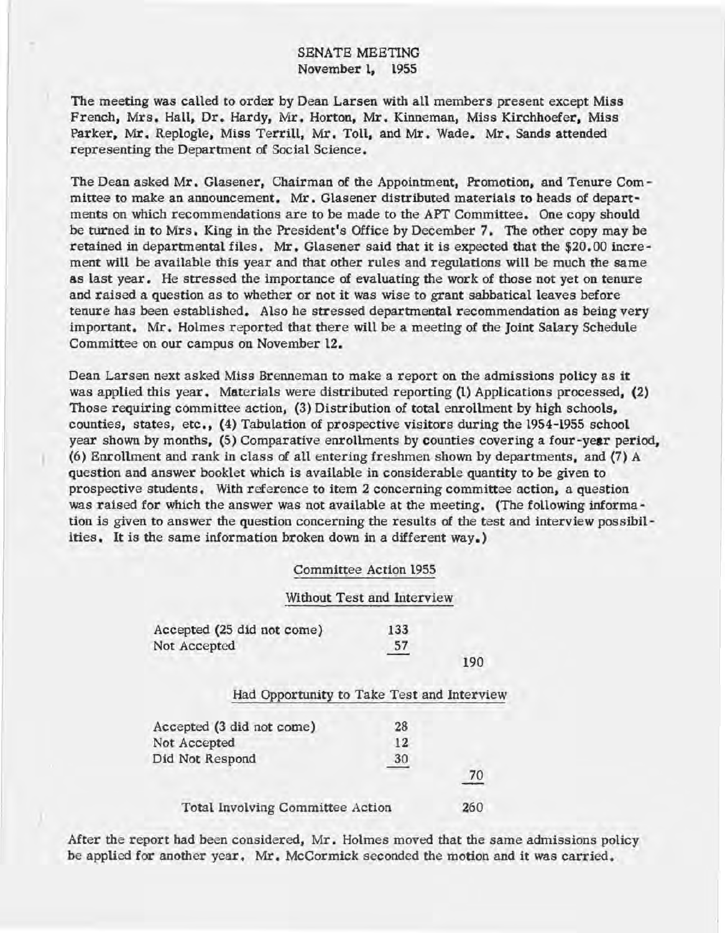The meeting was called to order by Dean Larsen with aU members present except Miss French, Mrs. Hall, Dr. Hardy, Mr. Horton, Mr. Kinneman, Miss Kirchhoefer, Miss Parker, Mr. Replogle, Miss Terrill, Mr. Toll, and Mr. Wade. Mr, Sands attended representing the Department of Social Science.

The Dean asked Mr. Glasener, Chairman of the Appointment, Promotion, and Tenure Committee to make an announcement. Mr. Glasener distributed materials to heads of departments on which recommendations are to be made to the APT Committee. One copy should be turned in to Mrs. King in the PreSident's Office by December 7. The other copy may be retained in departmental files. Mr. Glasener said that it is expected that the \$20.00 increment will be available this year and that other rules and regulations will be much the same as last year. He stressed the importance of evaluating the work of those not yet on tenure and raised a question as to whether or not it was wise to grant sabbatical leaves before tenure has been established. Also he stressed departmental recommendation as being very important. Mr. Holmes reported that there will be a meeting of the Joint Salary Schedule Committee on our campus on November 12.

Dean Larsen next asked Miss Brenneman to make a report on the admissions policy as it was applied this year. Materials were distributed reporting (1) Applications processed, (2) Those requiring committee action, (3) Distribution of total enrollment by high schools, counties, states, etc., (4) Tabulation of prospective visitors during the 1954-1955 school year shown by months, (5) Comparative enrollments by counties covering a four -year period, (6) Enrollment and rank in class of all entering freshmen shown by departments, and (7) A question and answer booklet which is available in considerable quantity to be given to prospective students. With reference to item 2 concerning committee action, a question was raised for which the answer was not available at the meeting. (The following information is given to answer the question concerning the results of the test and interview possibilities, It is the same information broken down in a different way.)

#### Committee Action 1955

#### Without Test and Interview

| Accepted (25 did not come) | 133 |     |
|----------------------------|-----|-----|
| Not Accepted               | 57  |     |
|                            |     | 190 |

#### Had Opportunity to Take Test and Interview

| Accepted (3 did not come)        | 28 |     |
|----------------------------------|----|-----|
| Not Accepted                     | 12 |     |
| Did Not Respond                  | 30 | 70  |
| Total Involving Committee Action |    | 260 |

After the report had been considered, Mr. Holmes moved that the same admissions policy be applied for another year. Mr. McCormick seconded the motion and it was carried.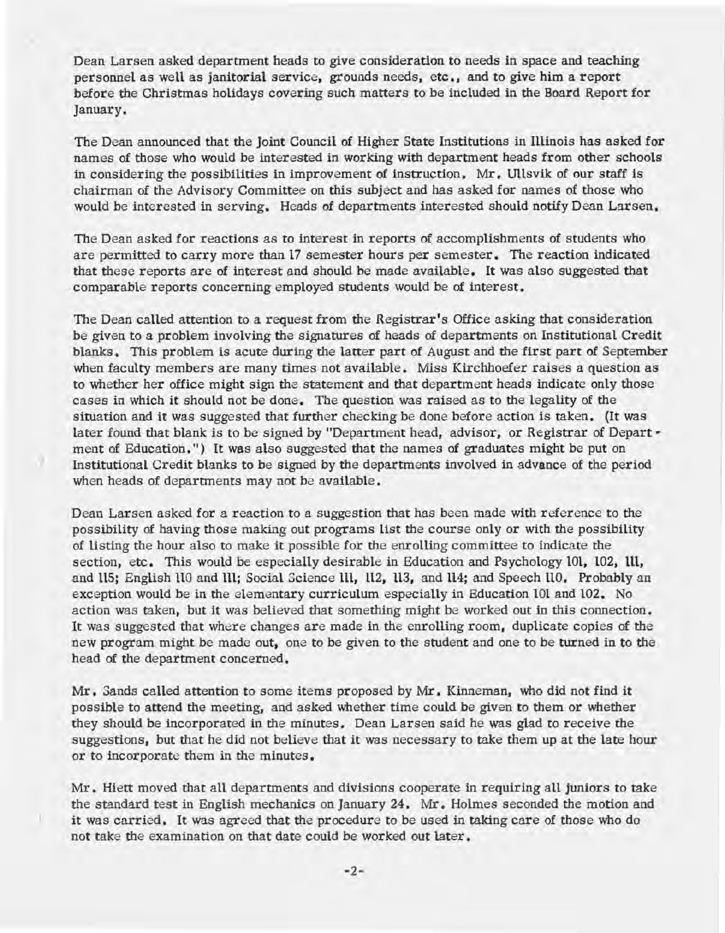Dean Larsen asked department heads to give consideration to needs in space and teaching personnel as well as janitorial service, grounds needs, etc., and to give him a report before the Christmas holidays covering such matters to be included in the Board Report for January.

The Dean announced that the Joint Council of Higher State Institutions in Illinois has asked for names of those who would be interested in working with department heads from other schools in considering the possibilities in improvement of instruction. Mr. Ullsvik of our staff is chairman of the Advisory Committee on this subject and has asked for names of those who would be interested in serving. Heads of departments interested should notify Dean Larsen.

The Dean asked for reactions as to interest in reports of accomplishments of students who are permitted to carry more than 17 semester hours per semester. The reaction indicated that these reports are of interest and should be made available. It was also suggested that comparable reports concerning employed students would be of interest.

The Dean called attention to a request from the Registrar's Office asking that consideration be given to a problem involving the signatures of heads of departments on Institutional Credit blanks. This problem is acute during the latter part of August and the first part of September when faculty members are many times not available. Miss Kirchhoefer raises a question as to whether her office might sign the statement and that department heads indicate only those cases in which it should not be done. The question was raised as to the legality of the situation and it was suggested that further checking be done before action is taken. (It was later found that blank is to be signed by "Department head, advisor, or Registrar of Depart ment of Education.") It was also suggested that the names of graduates might be put on Institutional Credit blanks to be signed by the departments involved in advance of the period when heads of departments may not be available.

)

Dean Larsen asked for a reaction to a suggestion that has been made with reference to the possibility of having those making out programs list the course only or with the possibility of listing the hour also to make it possible for the enrolling committee to indicate the section, etc. This would be especially desirable in Education and Psychology 101, 102, 111, and llS; English 110 and 111; Social Science Ill, ll2, 113, and 114; and Speech UO. Probably an exception would be in the elementary curriculum especially in Education 101 and 102. No action was taken, but it was believed that something might be worked out in this connection. It was suggested that where changes are made in the enrolling room, duplicate copies of the new program might be made out, one to be given to the student and one to be turned in to the head of the department concerned.

Mr. Sands called attention to some items proposed by Mr. Kinneman, who did not find it possible to attend the meeting, and asked whether time could be given to them or whether they should be incorporated in the minutes. Dean Larsen said he was glad to receive the suggestions, but that he did not believe that it was necessary to take them up at the late hour or to incorporate them in the minutes.

Mr. Hiett moved that all departments and divisions cooperate in requiring all juniors to take the standard test in English mechanics on January 24. Mr. Holmes seconded the motion and it was carried. It was agreed that the procedure to be used in taking care of those who do not take the examination on that date could be worked out later.